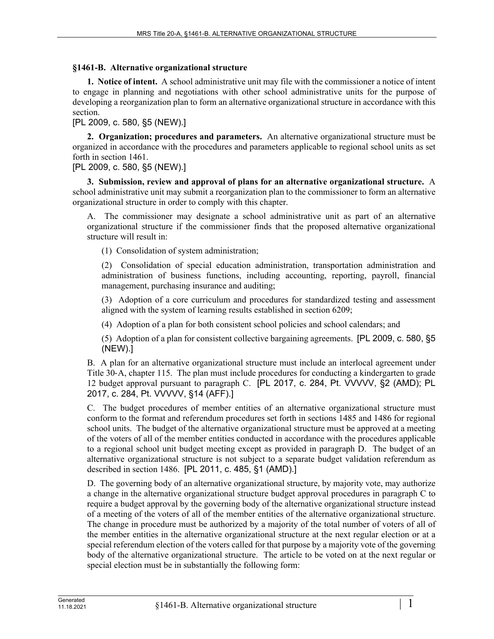## **§1461-B. Alternative organizational structure**

**1. Notice of intent.** A school administrative unit may file with the commissioner a notice of intent to engage in planning and negotiations with other school administrative units for the purpose of developing a reorganization plan to form an alternative organizational structure in accordance with this section.

[PL 2009, c. 580, §5 (NEW).]

**2. Organization; procedures and parameters.** An alternative organizational structure must be organized in accordance with the procedures and parameters applicable to regional school units as set forth in section 1461.

## [PL 2009, c. 580, §5 (NEW).]

**3. Submission, review and approval of plans for an alternative organizational structure.** A school administrative unit may submit a reorganization plan to the commissioner to form an alternative organizational structure in order to comply with this chapter.

A. The commissioner may designate a school administrative unit as part of an alternative organizational structure if the commissioner finds that the proposed alternative organizational structure will result in:

(1) Consolidation of system administration;

(2) Consolidation of special education administration, transportation administration and administration of business functions, including accounting, reporting, payroll, financial management, purchasing insurance and auditing;

(3) Adoption of a core curriculum and procedures for standardized testing and assessment aligned with the system of learning results established in section 6209;

(4) Adoption of a plan for both consistent school policies and school calendars; and

(5) Adoption of a plan for consistent collective bargaining agreements. [PL 2009, c. 580, §5 (NEW).]

B. A plan for an alternative organizational structure must include an interlocal agreement under Title 30‑A, chapter 115. The plan must include procedures for conducting a kindergarten to grade 12 budget approval pursuant to paragraph C. [PL 2017, c. 284, Pt. VVVVV, §2 (AMD); PL 2017, c. 284, Pt. VVVVV, §14 (AFF).]

C. The budget procedures of member entities of an alternative organizational structure must conform to the format and referendum procedures set forth in sections 1485 and 1486 for regional school units. The budget of the alternative organizational structure must be approved at a meeting of the voters of all of the member entities conducted in accordance with the procedures applicable to a regional school unit budget meeting except as provided in paragraph D. The budget of an alternative organizational structure is not subject to a separate budget validation referendum as described in section 1486. [PL 2011, c. 485, §1 (AMD).]

D. The governing body of an alternative organizational structure, by majority vote, may authorize a change in the alternative organizational structure budget approval procedures in paragraph C to require a budget approval by the governing body of the alternative organizational structure instead of a meeting of the voters of all of the member entities of the alternative organizational structure. The change in procedure must be authorized by a majority of the total number of voters of all of the member entities in the alternative organizational structure at the next regular election or at a special referendum election of the voters called for that purpose by a majority vote of the governing body of the alternative organizational structure. The article to be voted on at the next regular or special election must be in substantially the following form: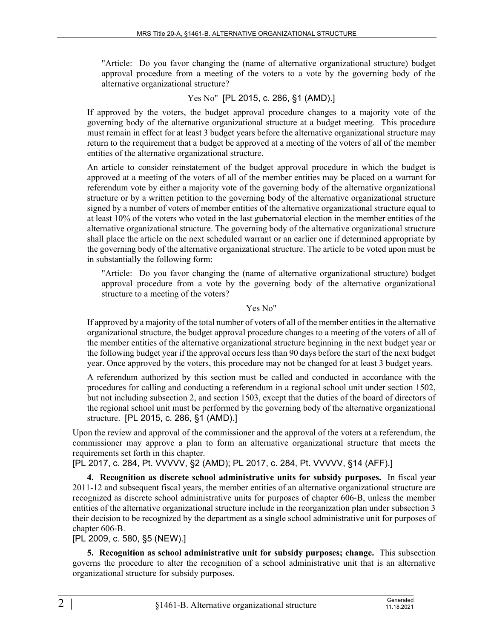"Article: Do you favor changing the (name of alternative organizational structure) budget approval procedure from a meeting of the voters to a vote by the governing body of the alternative organizational structure?

Yes No" [PL 2015, c. 286, §1 (AMD).]

If approved by the voters, the budget approval procedure changes to a majority vote of the governing body of the alternative organizational structure at a budget meeting. This procedure must remain in effect for at least 3 budget years before the alternative organizational structure may return to the requirement that a budget be approved at a meeting of the voters of all of the member entities of the alternative organizational structure.

An article to consider reinstatement of the budget approval procedure in which the budget is approved at a meeting of the voters of all of the member entities may be placed on a warrant for referendum vote by either a majority vote of the governing body of the alternative organizational structure or by a written petition to the governing body of the alternative organizational structure signed by a number of voters of member entities of the alternative organizational structure equal to at least 10% of the voters who voted in the last gubernatorial election in the member entities of the alternative organizational structure. The governing body of the alternative organizational structure shall place the article on the next scheduled warrant or an earlier one if determined appropriate by the governing body of the alternative organizational structure. The article to be voted upon must be in substantially the following form:

"Article: Do you favor changing the (name of alternative organizational structure) budget approval procedure from a vote by the governing body of the alternative organizational structure to a meeting of the voters?

## Yes No"

If approved by a majority of the total number of voters of all of the member entities in the alternative organizational structure, the budget approval procedure changes to a meeting of the voters of all of the member entities of the alternative organizational structure beginning in the next budget year or the following budget year if the approval occurs less than 90 days before the start of the next budget year. Once approved by the voters, this procedure may not be changed for at least 3 budget years.

A referendum authorized by this section must be called and conducted in accordance with the procedures for calling and conducting a referendum in a regional school unit under section 1502, but not including subsection 2, and section 1503, except that the duties of the board of directors of the regional school unit must be performed by the governing body of the alternative organizational structure. [PL 2015, c. 286, §1 (AMD).]

Upon the review and approval of the commissioner and the approval of the voters at a referendum, the commissioner may approve a plan to form an alternative organizational structure that meets the requirements set forth in this chapter.

[PL 2017, c. 284, Pt. VVVVV, §2 (AMD); PL 2017, c. 284, Pt. VVVVV, §14 (AFF).]

**4. Recognition as discrete school administrative units for subsidy purposes.** In fiscal year 2011-12 and subsequent fiscal years, the member entities of an alternative organizational structure are recognized as discrete school administrative units for purposes of chapter 606‑B, unless the member entities of the alternative organizational structure include in the reorganization plan under subsection 3 their decision to be recognized by the department as a single school administrative unit for purposes of chapter 606‑B.

[PL 2009, c. 580, §5 (NEW).]

**5. Recognition as school administrative unit for subsidy purposes; change.** This subsection governs the procedure to alter the recognition of a school administrative unit that is an alternative organizational structure for subsidy purposes.